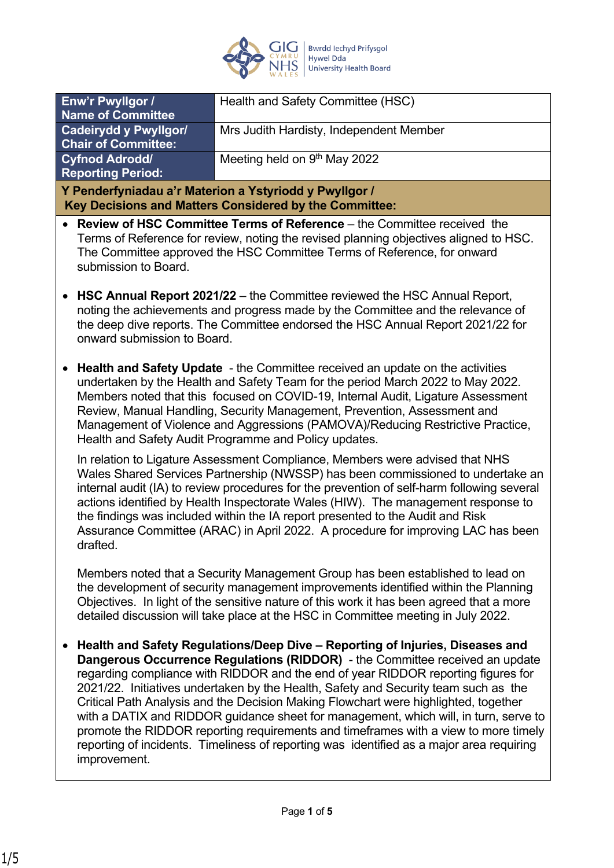

| Enw'r Pwyllgor /<br><b>Name of Committee</b>                                                                                                                                                                                                                                                                                                                                                                                                                                                                                                                                                                                                                                                                                | Health and Safety Committee (HSC)       |
|-----------------------------------------------------------------------------------------------------------------------------------------------------------------------------------------------------------------------------------------------------------------------------------------------------------------------------------------------------------------------------------------------------------------------------------------------------------------------------------------------------------------------------------------------------------------------------------------------------------------------------------------------------------------------------------------------------------------------------|-----------------------------------------|
| <b>Cadeirydd y Pwyllgor/</b>                                                                                                                                                                                                                                                                                                                                                                                                                                                                                                                                                                                                                                                                                                | Mrs Judith Hardisty, Independent Member |
| <b>Chair of Committee:</b>                                                                                                                                                                                                                                                                                                                                                                                                                                                                                                                                                                                                                                                                                                  |                                         |
| <b>Cyfnod Adrodd/</b><br><b>Reporting Period:</b>                                                                                                                                                                                                                                                                                                                                                                                                                                                                                                                                                                                                                                                                           | Meeting held on 9th May 2022            |
| Y Penderfyniadau a'r Materion a Ystyriodd y Pwyllgor /                                                                                                                                                                                                                                                                                                                                                                                                                                                                                                                                                                                                                                                                      |                                         |
| Key Decisions and Matters Considered by the Committee:                                                                                                                                                                                                                                                                                                                                                                                                                                                                                                                                                                                                                                                                      |                                         |
| <b>Review of HSC Committee Terms of Reference</b> – the Committee received the<br>Terms of Reference for review, noting the revised planning objectives aligned to HSC.<br>The Committee approved the HSC Committee Terms of Reference, for onward<br>submission to Board.                                                                                                                                                                                                                                                                                                                                                                                                                                                  |                                         |
| <b>HSC Annual Report 2021/22</b> – the Committee reviewed the HSC Annual Report,<br>noting the achievements and progress made by the Committee and the relevance of<br>the deep dive reports. The Committee endorsed the HSC Annual Report 2021/22 for<br>onward submission to Board.                                                                                                                                                                                                                                                                                                                                                                                                                                       |                                         |
| Health and Safety Update - the Committee received an update on the activities<br>undertaken by the Health and Safety Team for the period March 2022 to May 2022.<br>Members noted that this focused on COVID-19, Internal Audit, Ligature Assessment<br>Review, Manual Handling, Security Management, Prevention, Assessment and<br>Management of Violence and Aggressions (PAMOVA)/Reducing Restrictive Practice,<br>Health and Safety Audit Programme and Policy updates.                                                                                                                                                                                                                                                 |                                         |
| In relation to Ligature Assessment Compliance, Members were advised that NHS<br>Wales Shared Services Partnership (NWSSP) has been commissioned to undertake an<br>internal audit (IA) to review procedures for the prevention of self-harm following several<br>actions identified by Health Inspectorate Wales (HIW). The management response to<br>the findings was included within the IA report presented to the Audit and Risk<br>Assurance Committee (ARAC) in April 2022. A procedure for improving LAC has been<br>drafted.                                                                                                                                                                                        |                                         |
| Members noted that a Security Management Group has been established to lead on<br>the development of security management improvements identified within the Planning<br>Objectives. In light of the sensitive nature of this work it has been agreed that a more<br>detailed discussion will take place at the HSC in Committee meeting in July 2022.                                                                                                                                                                                                                                                                                                                                                                       |                                         |
| Health and Safety Regulations/Deep Dive - Reporting of Injuries, Diseases and<br>Dangerous Occurrence Regulations (RIDDOR) - the Committee received an update<br>regarding compliance with RIDDOR and the end of year RIDDOR reporting figures for<br>2021/22. Initiatives undertaken by the Health, Safety and Security team such as the<br>Critical Path Analysis and the Decision Making Flowchart were highlighted, together<br>with a DATIX and RIDDOR guidance sheet for management, which will, in turn, serve to<br>promote the RIDDOR reporting requirements and timeframes with a view to more timely<br>reporting of incidents. Timeliness of reporting was identified as a major area requiring<br>improvement. |                                         |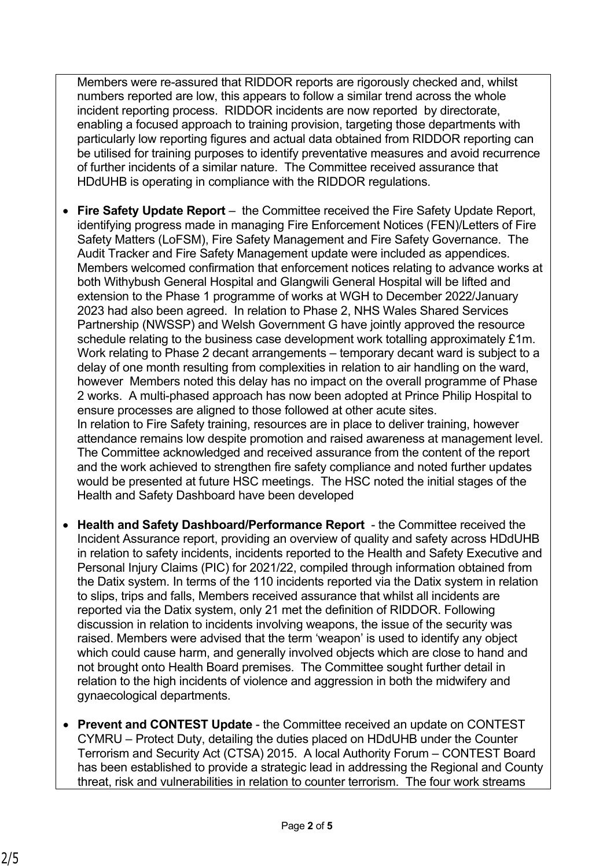Members were re-assured that RIDDOR reports are rigorously checked and, whilst numbers reported are low, this appears to follow a similar trend across the whole incident reporting process. RIDDOR incidents are now reported by directorate, enabling a focused approach to training provision, targeting those departments with particularly low reporting figures and actual data obtained from RIDDOR reporting can be utilised for training purposes to identify preventative measures and avoid recurrence of further incidents of a similar nature. The Committee received assurance that HDdUHB is operating in compliance with the RIDDOR regulations.

- **Fire Safety Update Report** the Committee received the Fire Safety Update Report, identifying progress made in managing Fire Enforcement Notices (FEN)/Letters of Fire Safety Matters (LoFSM), Fire Safety Management and Fire Safety Governance. The Audit Tracker and Fire Safety Management update were included as appendices. Members welcomed confirmation that enforcement notices relating to advance works at both Withybush General Hospital and Glangwili General Hospital will be lifted and extension to the Phase 1 programme of works at WGH to December 2022/January 2023 had also been agreed. In relation to Phase 2, NHS Wales Shared Services Partnership (NWSSP) and Welsh Government G have jointly approved the resource schedule relating to the business case development work totalling approximately £1m. Work relating to Phase 2 decant arrangements – temporary decant ward is subject to a delay of one month resulting from complexities in relation to air handling on the ward, however Members noted this delay has no impact on the overall programme of Phase 2 works. A multi-phased approach has now been adopted at Prince Philip Hospital to ensure processes are aligned to those followed at other acute sites. In relation to Fire Safety training, resources are in place to deliver training, however attendance remains low despite promotion and raised awareness at management level. The Committee acknowledged and received assurance from the content of the report and the work achieved to strengthen fire safety compliance and noted further updates
- **Health and Safety Dashboard/Performance Report**  the Committee received the Incident Assurance report, providing an overview of quality and safety across HDdUHB in relation to safety incidents, incidents reported to the Health and Safety Executive and Personal Injury Claims (PIC) for 2021/22, compiled through information obtained from the Datix system. In terms of the 110 incidents reported via the Datix system in relation to slips, trips and falls, Members received assurance that whilst all incidents are reported via the Datix system, only 21 met the definition of RIDDOR. Following discussion in relation to incidents involving weapons, the issue of the security was raised. Members were advised that the term 'weapon' is used to identify any object which could cause harm, and generally involved objects which are close to hand and not brought onto Health Board premises. The Committee sought further detail in relation to the high incidents of violence and aggression in both the midwifery and gynaecological departments.

would be presented at future HSC meetings. The HSC noted the initial stages of the

Health and Safety Dashboard have been developed

• **Prevent and CONTEST Update** - the Committee received an update on CONTEST CYMRU – Protect Duty, detailing the duties placed on HDdUHB under the Counter Terrorism and Security Act (CTSA) 2015. A local Authority Forum – CONTEST Board has been established to provide a strategic lead in addressing the Regional and County threat, risk and vulnerabilities in relation to counter terrorism. The four work streams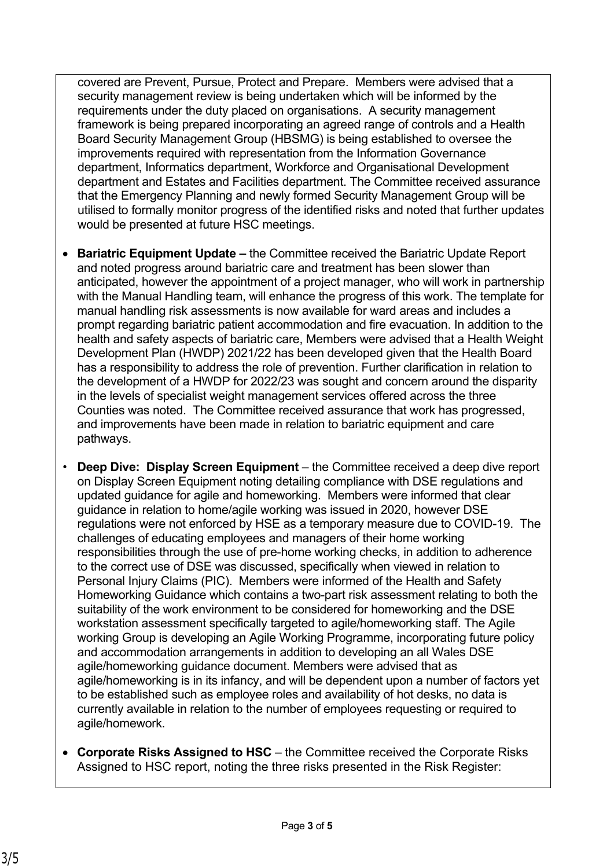covered are Prevent, Pursue, Protect and Prepare. Members were advised that a security management review is being undertaken which will be informed by the requirements under the duty placed on organisations. A security management framework is being prepared incorporating an agreed range of controls and a Health Board Security Management Group (HBSMG) is being established to oversee the improvements required with representation from the Information Governance department, Informatics department, Workforce and Organisational Development department and Estates and Facilities department. The Committee received assurance that the Emergency Planning and newly formed Security Management Group will be utilised to formally monitor progress of the identified risks and noted that further updates would be presented at future HSC meetings.

- **Bariatric Equipment Update** the Committee received the Bariatric Update Report and noted progress around bariatric care and treatment has been slower than anticipated, however the appointment of a project manager, who will work in partnership with the Manual Handling team, will enhance the progress of this work. The template for manual handling risk assessments is now available for ward areas and includes a prompt regarding bariatric patient accommodation and fire evacuation. In addition to the health and safety aspects of bariatric care, Members were advised that a Health Weight Development Plan (HWDP) 2021/22 has been developed given that the Health Board has a responsibility to address the role of prevention. Further clarification in relation to the development of a HWDP for 2022/23 was sought and concern around the disparity in the levels of specialist weight management services offered across the three Counties was noted. The Committee received assurance that work has progressed, and improvements have been made in relation to bariatric equipment and care pathways.
- **Deep Dive: Display Screen Equipment**  the Committee received a deep dive report on Display Screen Equipment noting detailing compliance with DSE regulations and updated guidance for agile and homeworking. Members were informed that clear guidance in relation to home/agile working was issued in 2020, however DSE regulations were not enforced by HSE as a temporary measure due to COVID-19. The challenges of educating employees and managers of their home working responsibilities through the use of pre-home working checks, in addition to adherence to the correct use of DSE was discussed, specifically when viewed in relation to Personal Injury Claims (PIC). Members were informed of the Health and Safety Homeworking Guidance which contains a two-part risk assessment relating to both the suitability of the work environment to be considered for homeworking and the DSE workstation assessment specifically targeted to agile/homeworking staff. The Agile working Group is developing an Agile Working Programme, incorporating future policy and accommodation arrangements in addition to developing an all Wales DSE agile/homeworking guidance document. Members were advised that as agile/homeworking is in its infancy, and will be dependent upon a number of factors yet to be established such as employee roles and availability of hot desks, no data is currently available in relation to the number of employees requesting or required to agile/homework.
- **Corporate Risks Assigned to HSC** the Committee received the Corporate Risks Assigned to HSC report, noting the three risks presented in the Risk Register: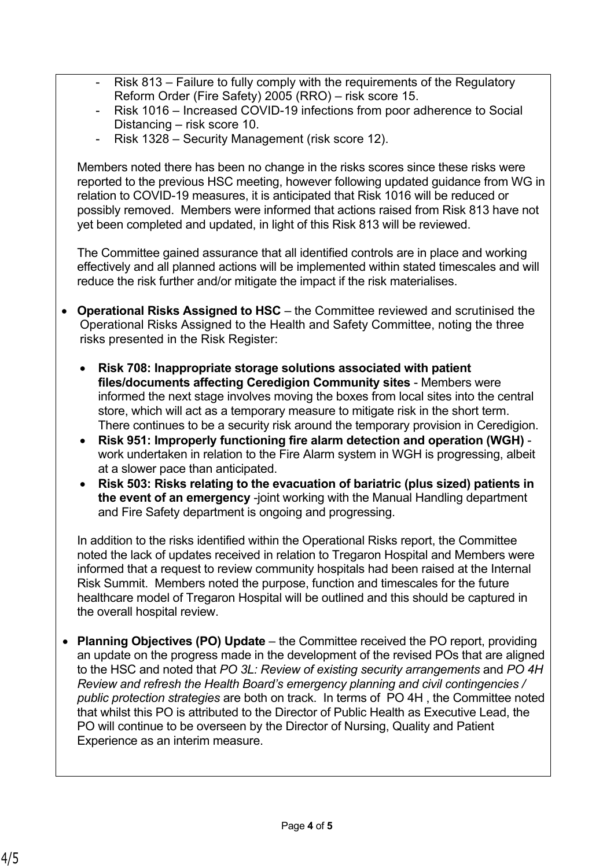- Risk 813 Failure to fully comply with the requirements of the Regulatory Reform Order (Fire Safety) 2005 (RRO) – risk score 15.
- Risk 1016 Increased COVID-19 infections from poor adherence to Social Distancing – risk score 10.
- Risk 1328 Security Management (risk score 12).

Members noted there has been no change in the risks scores since these risks were reported to the previous HSC meeting, however following updated guidance from WG in relation to COVID-19 measures, it is anticipated that Risk 1016 will be reduced or possibly removed. Members were informed that actions raised from Risk 813 have not yet been completed and updated, in light of this Risk 813 will be reviewed.

The Committee gained assurance that all identified controls are in place and working effectively and all planned actions will be implemented within stated timescales and will reduce the risk further and/or mitigate the impact if the risk materialises.

- **Operational Risks Assigned to HSC** the Committee reviewed and scrutinised the Operational Risks Assigned to the Health and Safety Committee, noting the three risks presented in the Risk Register:
	- **Risk 708: Inappropriate storage solutions associated with patient files/documents affecting Ceredigion Community sites** - Members were informed the next stage involves moving the boxes from local sites into the central store, which will act as a temporary measure to mitigate risk in the short term. There continues to be a security risk around the temporary provision in Ceredigion.
	- **Risk 951: Improperly functioning fire alarm detection and operation (WGH)** work undertaken in relation to the Fire Alarm system in WGH is progressing, albeit at a slower pace than anticipated.
	- **Risk 503: Risks relating to the evacuation of bariatric (plus sized) patients in the event of an emergency** -joint working with the Manual Handling department and Fire Safety department is ongoing and progressing.

In addition to the risks identified within the Operational Risks report, the Committee noted the lack of updates received in relation to Tregaron Hospital and Members were informed that a request to review community hospitals had been raised at the Internal Risk Summit. Members noted the purpose, function and timescales for the future healthcare model of Tregaron Hospital will be outlined and this should be captured in the overall hospital review.

• **Planning Objectives (PO) Update** – the Committee received the PO report, providing an update on the progress made in the development of the revised POs that are aligned to the HSC and noted that *PO 3L: Review of existing security arrangements* and *PO 4H Review and refresh the Health Board's emergency planning and civil contingencies / public protection strategies* are both on track. In terms of PO 4H , the Committee noted that whilst this PO is attributed to the Director of Public Health as Executive Lead, the PO will continue to be overseen by the Director of Nursing, Quality and Patient Experience as an interim measure.